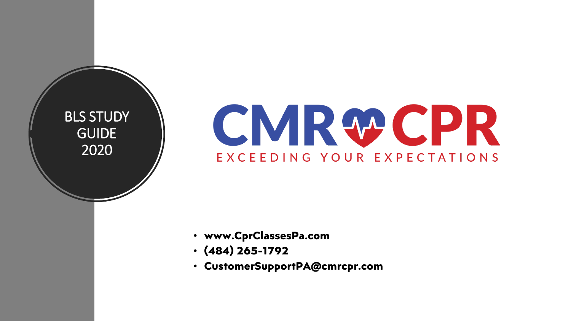BLS STUDY GUIDE 2020

# CMRWCPR EXCEEDING YOUR EXPECTATIONS

- **www.CprClassesPa.com**
- **(484) 265-1792**
- **CustomerSupportPA@cmrcpr.com**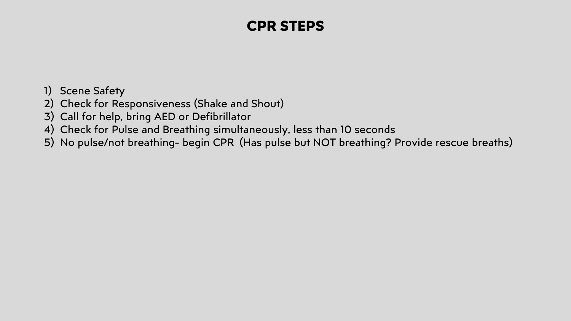# **CPR STEPS**

- 1) Scene Safety
- 2) Check for Responsiveness (Shake and Shout)
- 3) Call for help, bring AED or Defibrillator
- 4) Check for Pulse and Breathing simultaneously, less than 10 seconds
- 5) No pulse/not breathing- begin CPR (Has pulse but NOT breathing? Provide rescue breaths)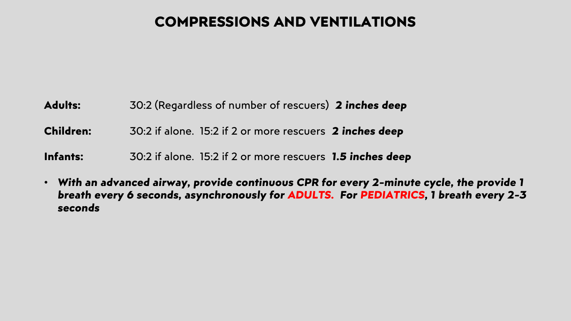# **COMPRESSIONS AND VENTILATIONS**

**Adults:** 30:2 (Regardless of number of rescuers) *2 inches deep*

**Children:** 30:2 if alone. 15:2 if 2 or more rescuers *2 inches deep*

**Infants:** 30:2 if alone. 15:2 if 2 or more rescuers *1.5 inches deep*

• *With an advanced airway, provide continuous CPR for every 2-minute cycle, the provide 1 breath every 6 seconds, asynchronously for ADULTS. For PEDIATRICS, 1 breath every 2-3 seconds*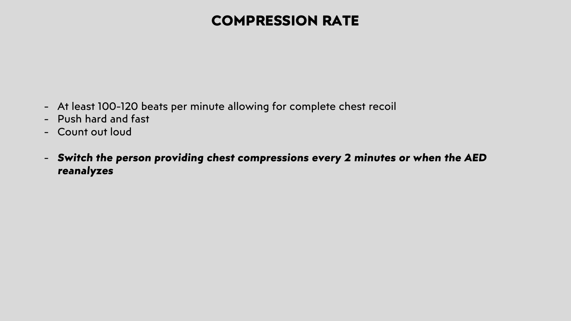## **COMPRESSION RATE**

- At least 100-120 beats per minute allowing for complete chest recoil
- Push hard and fast
- Count out loud
- *Switch the person providing chest compressions every 2 minutes or when the AED reanalyzes*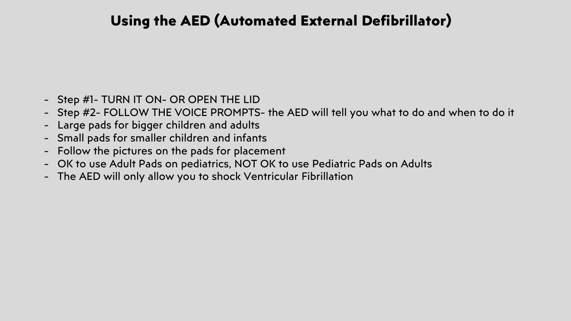# **Using the AED (Automated External Defibrillator)**

- Step #1- TURN IT ON- OR OPEN THE LID
- Step #2- FOLLOW THE VOICE PROMPTS- the AED will tell you what to do and when to do it
- Large pads for bigger children and adults
- Small pads for smaller children and infants
- Follow the pictures on the pads for placement
- OK to use Adult Pads on pediatrics, NOT OK to use Pediatric Pads on Adults
- The AED will only allow you to shock Ventricular Fibrillation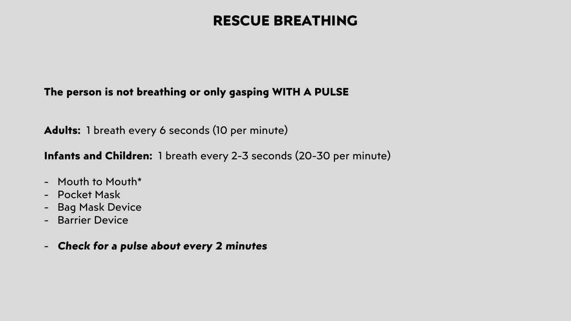## **RESCUE BREATHING**

## **The person is not breathing or only gasping WITH A PULSE**

**Adults:** 1 breath every 6 seconds (10 per minute)

**Infants and Children:** 1 breath every 2-3 seconds (20-30 per minute)

- Mouth to Mouth\*
- Pocket Mask
- Bag Mask Device
- Barrier Device
- *Check for a pulse about every 2 minutes*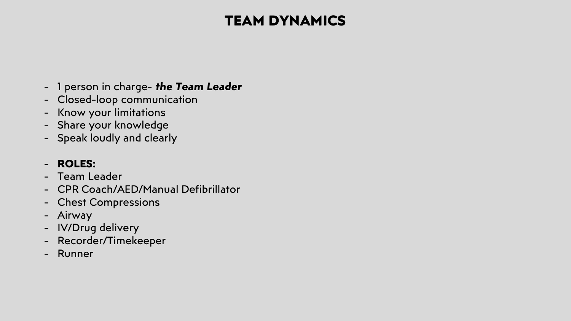# **TEAM DYNAMICS**

- 1 person in charge- *the Team Leader*
- Closed-loop communication
- Know your limitations
- Share your knowledge
- Speak loudly and clearly

## - **ROLES:**

- Team Leader
- CPR Coach/AED/Manual Defibrillator
- Chest Compressions
- Airway
- IV/Drug delivery
- Recorder/Timekeeper
- Runner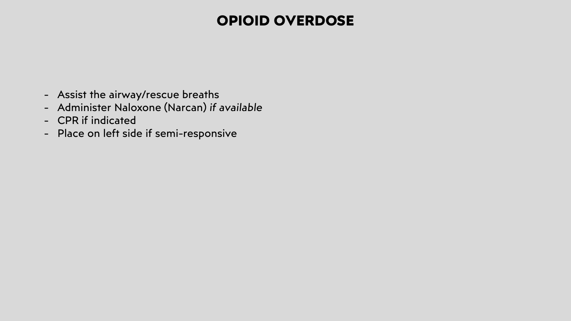## **OPIOID OVERDOSE**

- Assist the airway/rescue breaths
- Administer Naloxone (Narcan) *if available*
- CPR if indicated
- Place on left side if semi-responsive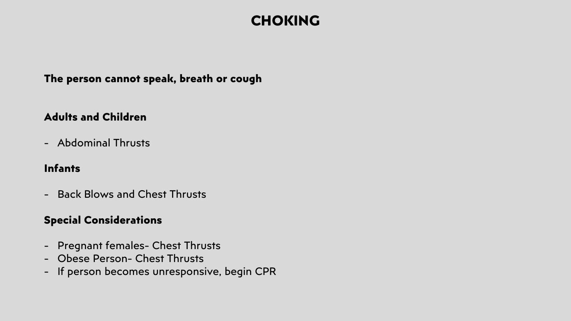## **CHOKING**

### **The person cannot speak, breath or cough**

### **Adults and Children**

- Abdominal Thrusts

### **Infants**

- Back Blows and Chest Thrusts

## **Special Considerations**

- Pregnant females- Chest Thrusts
- Obese Person- Chest Thrusts
- If person becomes unresponsive, begin CPR